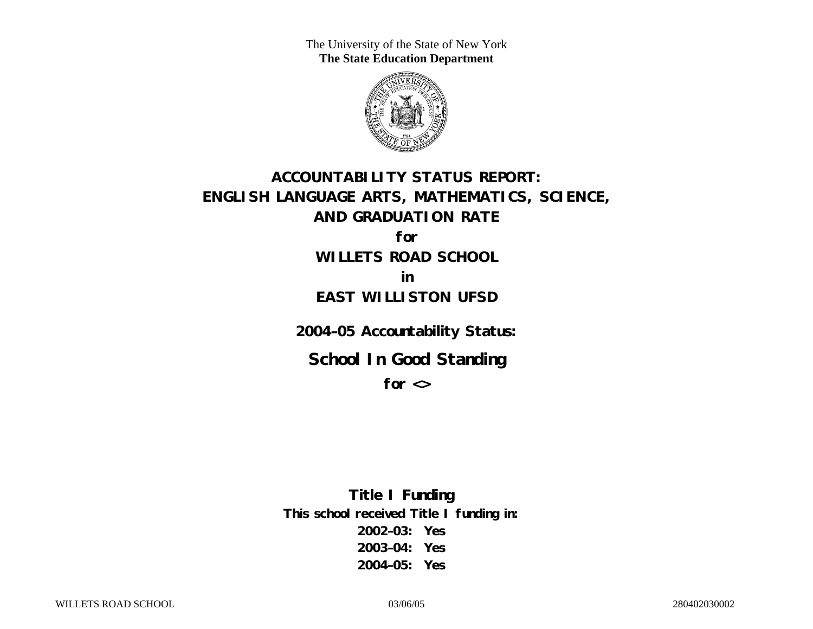The University of the State of New York **The State Education Department** 



## **ACCOUNTABILITY STATUS REPORT: ENGLISH LANGUAGE ARTS, MATHEMATICS, SCIENCE, AND GRADUATION RATE for**

**WILLETS ROAD SCHOOL in** 

## **EAST WILLISTON UFSD**

**2004–05 Accountability Status:** 

**School In Good Standing** 

**for <>**

**Title I Funding This school received Title I funding in: 2002–03: Yes 2003–04: Yes 2004–05: Yes**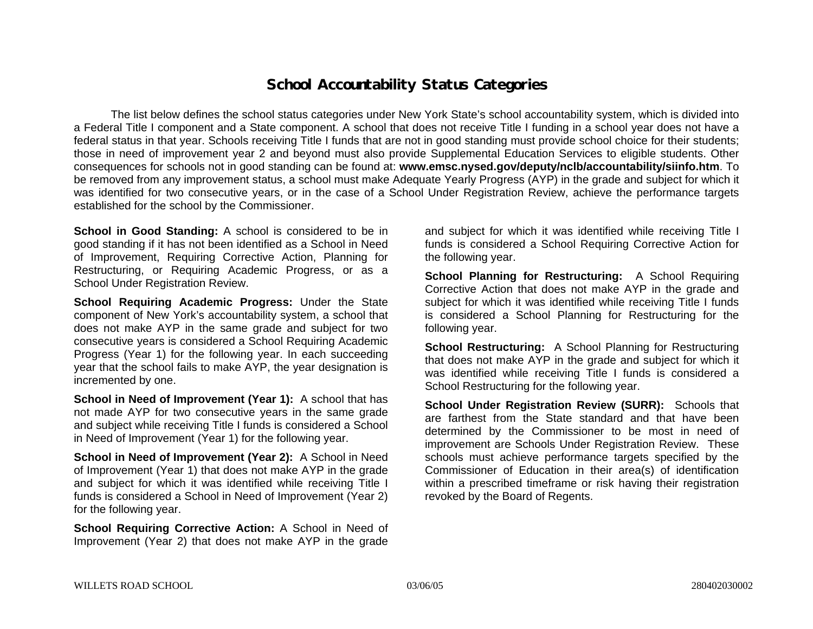## **School Accountability Status Categories**

The list below defines the school status categories under New York State's school accountability system, which is divided into a Federal Title I component and a State component. A school that does not receive Title I funding in a school year does not have a federal status in that year. Schools receiving Title I funds that are not in good standing must provide school choice for their students; those in need of improvement year 2 and beyond must also provide Supplemental Education Services to eligible students. Other consequences for schools not in good standing can be found at: **www.emsc.nysed.gov/deputy/nclb/accountability/siinfo.htm**. To be removed from any improvement status, a school must make Adequate Yearly Progress (AYP) in the grade and subject for which it was identified for two consecutive years, or in the case of a School Under Registration Review, achieve the performance targets established for the school by the Commissioner.

**School in Good Standing:** A school is considered to be in good standing if it has not been identified as a School in Need of Improvement, Requiring Corrective Action, Planning for Restructuring, or Requiring Academic Progress, or as a School Under Registration Review.

**School Requiring Academic Progress:** Under the State component of New York's accountability system, a school that does not make AYP in the same grade and subject for two consecutive years is considered a School Requiring Academic Progress (Year 1) for the following year. In each succeeding year that the school fails to make AYP, the year designation is incremented by one.

**School in Need of Improvement (Year 1):** A school that has not made AYP for two consecutive years in the same grade and subject while receiving Title I funds is considered a School in Need of Improvement (Year 1) for the following year.

**School in Need of Improvement (Year 2):** A School in Need of Improvement (Year 1) that does not make AYP in the grade and subject for which it was identified while receiving Title I funds is considered a School in Need of Improvement (Year 2) for the following year.

**School Requiring Corrective Action:** A School in Need of Improvement (Year 2) that does not make AYP in the grade

and subject for which it was identified while receiving Title I funds is considered a School Requiring Corrective Action for the following year.

**School Planning for Restructuring:** A School Requiring Corrective Action that does not make AYP in the grade and subject for which it was identified while receiving Title I funds is considered a School Planning for Restructuring for the following year.

**School Restructuring:** A School Planning for Restructuring that does not make AYP in the grade and subject for which it was identified while receiving Title I funds is considered a School Restructuring for the following year.

**School Under Registration Review (SURR):** Schools that are farthest from the State standard and that have been determined by the Commissioner to be most in need of improvement are Schools Under Registration Review. These schools must achieve performance targets specified by the Commissioner of Education in their area(s) of identification within a prescribed timeframe or risk having their registration revoked by the Board of Regents.